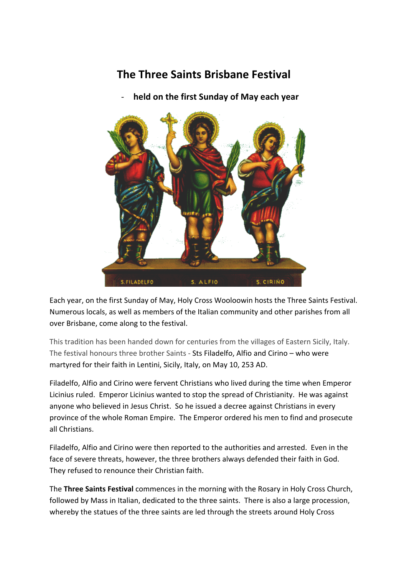## **The Three Saints Brisbane Festival**

held on the first Sunday of May each year



Each year, on the first Sunday of May, Holy Cross Wooloowin hosts the Three Saints Festival. Numerous locals, as well as members of the Italian community and other parishes from all over Brisbane, come along to the festival.

This tradition has been handed down for centuries from the villages of Eastern Sicily, Italy. The festival honours three brother Saints - Sts Filadelfo, Alfio and Cirino  $-$  who were martyred for their faith in Lentini, Sicily, Italy, on May 10, 253 AD.

Filadelfo, Alfio and Cirino were fervent Christians who lived during the time when Emperor Licinius ruled. Emperor Licinius wanted to stop the spread of Christianity. He was against anyone who believed in Jesus Christ. So he issued a decree against Christians in every province of the whole Roman Empire. The Emperor ordered his men to find and prosecute all Christians.

Filadelfo, Alfio and Cirino were then reported to the authorities and arrested. Even in the face of severe threats, however, the three brothers always defended their faith in God. They refused to renounce their Christian faith.

The **Three Saints Festival** commences in the morning with the Rosary in Holy Cross Church, followed by Mass in Italian, dedicated to the three saints. There is also a large procession, whereby the statues of the three saints are led through the streets around Holy Cross